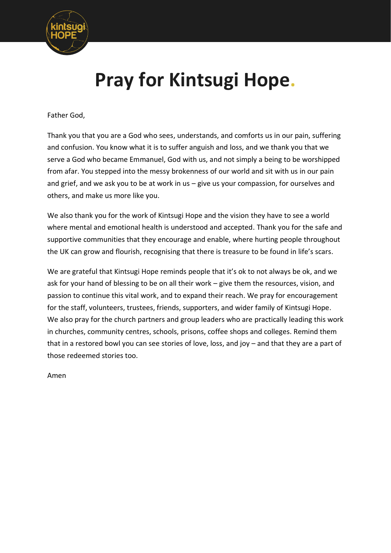

## **Pray for Kintsugi Hope.**

Father God,

Thank you that you are a God who sees, understands, and comforts us in our pain, suffering and confusion. You know what it is to suffer anguish and loss, and we thank you that we serve a God who became Emmanuel, God with us, and not simply a being to be worshipped from afar. You stepped into the messy brokenness of our world and sit with us in our pain and grief, and we ask you to be at work in us – give us your compassion, for ourselves and others, and make us more like you.

We also thank you for the work of Kintsugi Hope and the vision they have to see a world where mental and emotional health is understood and accepted. Thank you for the safe and supportive communities that they encourage and enable, where hurting people throughout the UK can grow and flourish, recognising that there is treasure to be found in life's scars.

We are grateful that Kintsugi Hope reminds people that it's ok to not always be ok, and we ask for your hand of blessing to be on all their work – give them the resources, vision, and passion to continue this vital work, and to expand their reach. We pray for encouragement for the staff, volunteers, trustees, friends, supporters, and wider family of Kintsugi Hope. We also pray for the church partners and group leaders who are practically leading this work in churches, community centres, schools, prisons, coffee shops and colleges. Remind them that in a restored bowl you can see stories of love, loss, and joy – and that they are a part of those redeemed stories too.

Amen